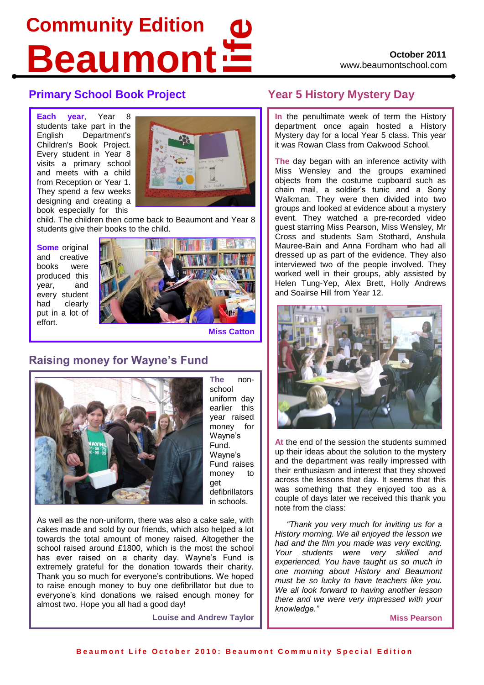# **life Community Edition Beaumont**

### **Primary School Book Project Year 5 History Mystery Day**

**Each year**, Year 8 students take part in the English Department's Children's Book Project. Every student in Year 8 visits a primary school and meets with a child from Reception or Year 1. They spend a few weeks designing and creating a book especially for this



child. The children then come back to Beaumont and Year 8 students give their books to the child.

**Some** original and creative books were produced this year, and every student had clearly put in a lot of effort.



**Miss Catton**

# **Raising money for Wayne's Fund**



**The** nonschool uniform day earlier this year raised money for Wayne's Fund. Wayne's Fund raises money to get defibrillators in schools.

As well as the non-uniform, there was also a cake sale, with cakes made and sold by our friends, which also helped a lot towards the total amount of money raised. Altogether the school raised around £1800, which is the most the school has ever raised on a charity day. Wayne's Fund is extremely grateful for the donation towards their charity. Thank you so much for everyone's contributions. We hoped to raise enough money to buy one defibrillator but due to everyone's kind donations we raised enough money for almost two. Hope you all had a good day!

**Louise and Andrew Taylor**

**In** the penultimate week of term the History department once again hosted a History Mystery day for a local Year 5 class. This year it was Rowan Class from Oakwood School.

**The day began with an inference activity with** Miss Wensley and the groups examined objects from the costume cupboard such as chain mail, a soldier's tunic and a Sony Walkman. They were then divided into two groups and looked at evidence about a mystery event. They watched a pre-recorded video guest starring Miss Pearson, Miss Wensley, Mr Cross and students Sam Stothard, Anshula Mauree-Bain and Anna Fordham who had all dressed up as part of the evidence. They also interviewed two of the people involved. They worked well in their groups, ably assisted by Helen Tung-Yep, Alex Brett, Holly Andrews and Soairse Hill from Year 12.



**At** the end of the session the students summed up their ideas about the solution to the mystery and the department was really impressed with their enthusiasm and interest that they showed across the lessons that day. It seems that this was something that they enjoyed too as a couple of days later we received this thank you note from the class:

*"Thank you very much for inviting us for a History morning. We all enjoyed the lesson we had and the film you made was very exciting. Your students were very skilled and experienced. You have taught us so much in one morning about History and Beaumont must be so lucky to have teachers like you. We all look forward to having another lesson there and we were very impressed with your knowledge."*

**Miss Pearson**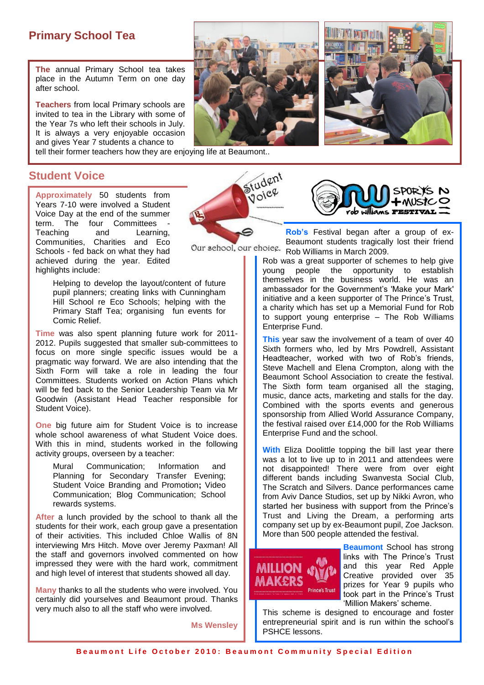## **Primary School Tea**

**The** annual Primary School tea takes place in the Autumn Term on one day after school.

**Teachers** from local Primary schools are invited to tea in the Library with some of the Year 7s who left their schools in July. It is always a very enjoyable occasion and gives Year 7 students a chance to

tell their former teachers how they are enjoying life at Beaumont..



#### **Student Voice**

**Approximately** 50 students from Years 7-10 were involved a Student Voice Day at the end of the summer term. The four Committees - Teaching and Learning, Communities, Charities and Eco Schools - fed back on what they had achieved during the year. Edited highlights include:

> Helping to develop the layout/content of future pupil planners; creating links with Cunningham Hill School re Eco Schools; helping with the Primary Staff Tea; organising fun events for Comic Relief.

**Time** was also spent planning future work for 2011- 2012. Pupils suggested that smaller sub-committees to focus on more single specific issues would be a pragmatic way forward. We are also intending that the Sixth Form will take a role in leading the four Committees. Students worked on Action Plans which will be fed back to the Senior Leadership Team via Mr Goodwin (Assistant Head Teacher responsible for Student Voice).

**One** big future aim for Student Voice is to increase whole school awareness of what Student Voice does. With this in mind, students worked in the following activity groups, overseen by a teacher:

Mural Communication; Information and Planning for Secondary Transfer Evening; Student Voice Branding and Promotion**;** Video Communication; Blog Communication; School rewards systems.

**After** a lunch provided by the school to thank all the students for their work, each group gave a presentation of their activities. This included Chloe Wallis of 8N interviewing Mrs Hitch. Move over Jeremy Paxman! All the staff and governors involved commented on how impressed they were with the hard work, commitment and high level of interest that students showed all day.

**Many** thanks to all the students who were involved. You certainly did yourselves and Beaumont proud. Thanks very much also to all the staff who were involved.

**Ms Wensley**



**Rob's** Festival began after a group of ex-Beaumont students tragically lost their friend Our school, our choice. Rob Williams in March 2009.

Student luuree

> Rob was a great supporter of schemes to help give young people the opportunity to establish themselves in the business world. He was an ambassador for the Government's 'Make your Mark' initiative and a keen supporter of The Prince's Trust, a charity which has set up a Memorial Fund for Rob to support young enterprise – The Rob Williams Enterprise Fund.

> **This** year saw the involvement of a team of over 40 Sixth formers who, led by Mrs Powdrell, Assistant Headteacher, worked with two of Rob's friends, Steve Machell and Elena Crompton, along with the Beaumont School Association to create the festival. The Sixth form team organised all the staging, music, dance acts, marketing and stalls for the day. Combined with the sports events and generous sponsorship from Allied World Assurance Company, the festival raised over £14,000 for the Rob Williams Enterprise Fund and the school.

> **With Eliza Doolittle topping the bill last year there** was a lot to live up to in 2011 and attendees were not disappointed! There were from over eight different bands including Swanvesta Social Club, The Scratch and Silvers. Dance performances came from Aviv Dance Studios, set up by Nikki Avron, who started her business with support from the Prince's Trust and Living the Dream, a performing arts company set up by ex-Beaumont pupil, Zoe Jackson. More than 500 people attended the festival.



**Beaumont** School has strong links with The Prince's Trust and this year Red Apple Creative provided over 35 prizes for Year 9 pupils who took part in the Prince's Trust 'Million Makers' scheme.

This scheme is designed to encourage and foster entrepreneurial spirit and is run within the school's PSHCE lessons.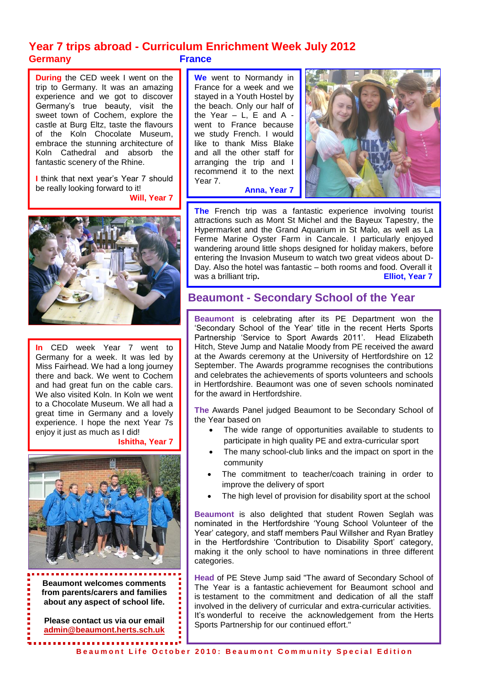### **Year 7 trips abroad - Curriculum Enrichment Week July 2012 Germany France**

**During** the CED week I went on the trip to Germany. It was an amazing experience and we got to discover Germany's true beauty, visit the sweet town of Cochem, explore the castle at Burg Eltz, taste the flavours of the Koln Chocolate Museum, embrace the stunning architecture of Koln Cathedral and absorb the fantastic scenery of the Rhine.

**I** think that next year's Year 7 should be really looking forward to it! **Will, Year 7**



**In** CED week Year 7 went to Germany for a week. It was led by Miss Fairhead. We had a long journey there and back. We went to Cochem and had great fun on the cable cars. We also visited Koln. In Koln we went to a Chocolate Museum. We all had a great time in Germany and a lovely experience. I hope the next Year 7s enjoy it just as much as I did!

**Ishitha, Year 7**

I

I

I

I

I

I

I



**Beaumont welcomes comments from parents/carers and families about any aspect of school life.** 

ĺ

 $\overline{\phantom{a}}$ 

**Please contact us via our email [admin@beaumont.herts.sch.uk](mailto:admin@beaumont.herts.sch.uk)**

**We** went to Normandy in France for a week and we stayed in a Youth Hostel by the beach. Only our half of the Year  $-$  L, E and A went to France because we study French. I would like to thank Miss Blake and all the other staff for arranging the trip and I recommend it to the next Year 7. **Anna, Year 7**



**The** French trip was a fantastic experience involving tourist attractions such as Mont St Michel and the Bayeux Tapestry, the Hypermarket and the Grand Aquarium in St Malo, as well as La Ferme Marine Oyster Farm in Cancale. I particularly enjoyed wandering around little shops designed for holiday makers, before entering the Invasion Museum to watch two great videos about D-Day. Also the hotel was fantastic – both rooms and food. Overall it was a brilliant trip. **Elliot**, Year 7

### **Beaumont - Secondary School of the Year**

**Beaumont** is celebrating after its PE Department won the 'Secondary School of the Year' title in the recent Herts Sports Partnership 'Service to Sport Awards 2011'. Head Elizabeth Hitch, Steve Jump and Natalie Moody from PE received the award at the Awards ceremony at the University of Hertfordshire on 12 September. The Awards programme recognises the contributions and celebrates the achievements of sports volunteers and schools in Hertfordshire. Beaumont was one of seven schools nominated for the award in Hertfordshire.

**The** Awards Panel judged Beaumont to be Secondary School of the Year based on

- The wide range of opportunities available to students to participate in high quality PE and extra-curricular sport
- The many school-club links and the impact on sport in the community
- The commitment to teacher/coach training in order to improve the delivery of sport
- The high level of provision for disability sport at the school

**Beaumont** is also delighted that student Rowen Seglah was nominated in the Hertfordshire 'Young School Volunteer of the Year' category, and staff members Paul Willsher and Ryan Bratley in the Hertfordshire 'Contribution to Disability Sport' category, making it the only school to have nominations in three different categories.

**Head** of PE Steve Jump said "The award of Secondary School of The Year is a fantastic achievement for Beaumont school and is testament to the commitment and dedication of all the staff involved in the delivery of curricular and extra-curricular activities. It's wonderful to receive the acknowledgement from the Herts Sports Partnership for our continued effort."